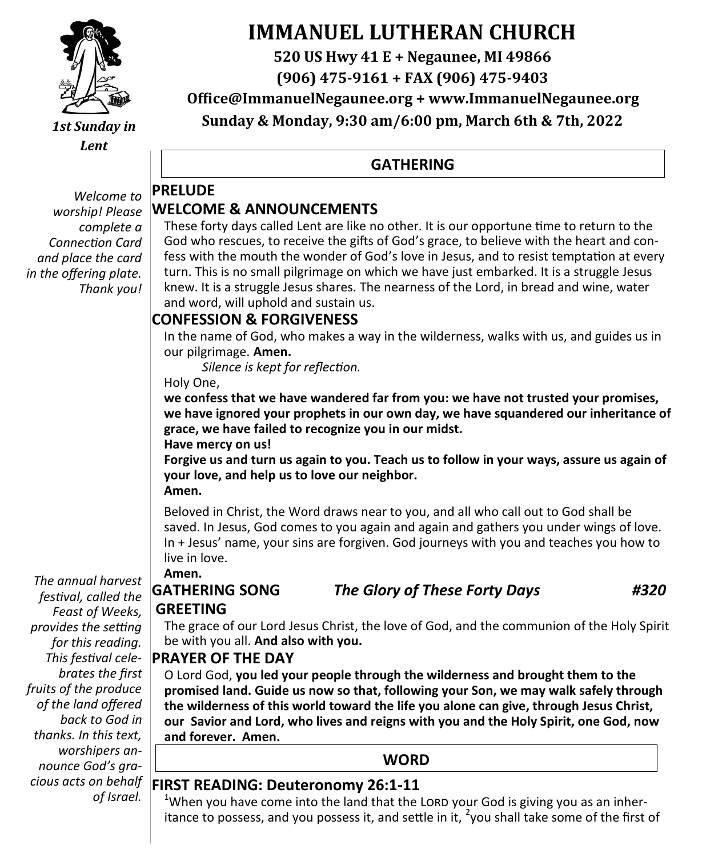

*1st Sunday in Lent*

*Welcome to worship! Please complete a Connection Card and place the card in the offering plate. Thank you!*

# **IMMANUEL LUTHERAN CHURCH**

**520 US Hwy 41 E + Negaunee, MI 49866**

**(906) 475-9161 + FAX (906) 475-9403**

**Office@ImmanuelNegaunee.org + www.ImmanuelNegaunee.org**

**Sunday & Monday, 9:30 am/6:00 pm, March 6th & 7th, 2022**

#### **GATHERING**

#### **PRELUDE WELCOME & ANNOUNCEMENTS**

These forty days called Lent are like no other. It is our opportune time to return to the God who rescues, to receive the gifts of God's grace, to believe with the heart and confess with the mouth the wonder of God's love in Jesus, and to resist temptation at every turn. This is no small pilgrimage on which we have just embarked. It is a struggle Jesus knew. It is a struggle Jesus shares. The nearness of the Lord, in bread and wine, water and word, will uphold and sustain us.

#### **CONFESSION & FORGIVENESS**

In the name of God, who makes a way in the wilderness, walks with us, and guides us in our pilgrimage. **Amen.**

*Silence is kept for reflection.*

Holy One,

**we confess that we have wandered far from you: we have not trusted your promises, we have ignored your prophets in our own day, we have squandered our inheritance of grace, we have failed to recognize you in our midst. Have mercy on us!**

**Forgive us and turn us again to you. Teach us to follow in your ways, assure us again of your love, and help us to love our neighbor. Amen.**

Beloved in Christ, the Word draws near to you, and all who call out to God shall be saved. In Jesus, God comes to you again and again and gathers you under wings of love. In + Jesus' name, your sins are forgiven. God journeys with you and teaches you how to live in love.

**Amen.** *The annual harvest* 

# **GREETING**

**GATHERING SONG** *The Glory of These Forty Days #320*

*festival, called the Feast of Weeks, provides the setting for this reading. This festival celebrates the first fruits of the produce of the land offered back to God in thanks. In this text, worshipers announce God's gracious acts on behalf of Israel.*

The grace of our Lord Jesus Christ, the love of God, and the communion of the Holy Spirit be with you all. **And also with you.** 

#### **PRAYER OF THE DAY**

O Lord God, **you led your people through the wilderness and brought them to the promised land. Guide us now so that, following your Son, we may walk safely through the wilderness of this world toward the life you alone can give, through Jesus Christ, our Savior and Lord, who lives and reigns with you and the Holy Spirit, one God, now and forever. Amen.**

#### **WORD**

#### **FIRST READING: Deuteronomy 26:1-11**

 $1$ When you have come into the land that the LORD your God is giving you as an inheritance to possess, and you possess it, and settle in it, <sup>2</sup>you shall take some of the first of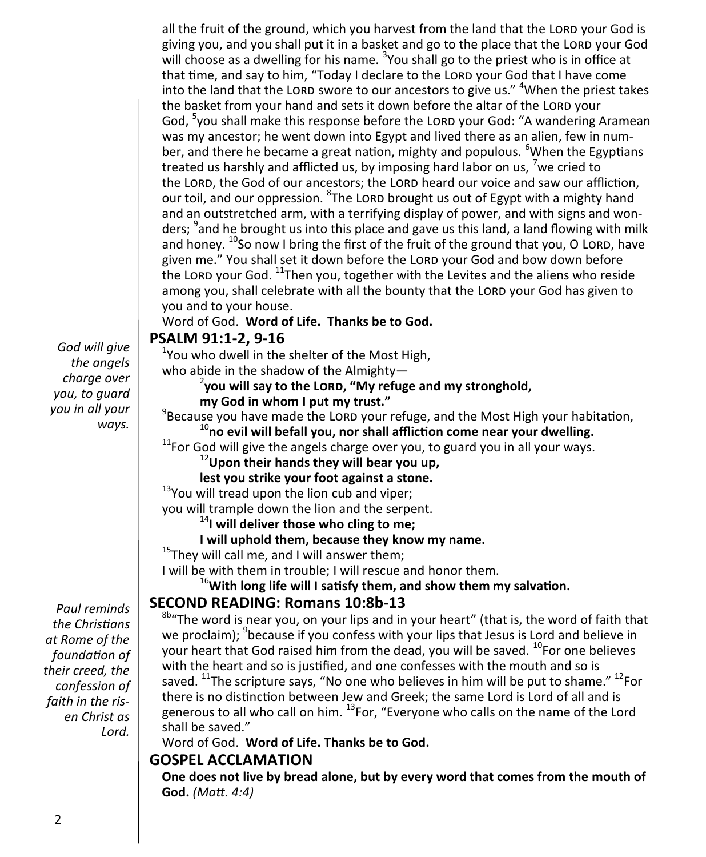all the fruit of the ground, which you harvest from the land that the LORD your God is giving you, and you shall put it in a basket and go to the place that the LORD your God will choose as a dwelling for his name.  $3$ You shall go to the priest who is in office at that time, and say to him, "Today I declare to the LORD your God that I have come into the land that the LORD swore to our ancestors to give us." <sup>4</sup>When the priest takes the basket from your hand and sets it down before the altar of the LORD your God, <sup>5</sup>you shall make this response before the LORD your God: "A wandering Aramean was my ancestor; he went down into Egypt and lived there as an alien, few in number, and there he became a great nation, mighty and populous. <sup>6</sup>When the Egyptians treated us harshly and afflicted us, by imposing hard labor on us, <sup>7</sup>we cried to the LORD, the God of our ancestors; the LORD heard our voice and saw our affliction, our toil, and our oppression. <sup>8</sup>The Lord brought us out of Egypt with a mighty hand and an outstretched arm, with a terrifying display of power, and with signs and wonders; <sup>9</sup>and he brought us into this place and gave us this land, a land flowing with milk and honey.  $^{10}$ So now I bring the first of the fruit of the ground that you, O LORD, have given me." You shall set it down before the LORD your God and bow down before the LORD your God. <sup>11</sup>Then you, together with the Levites and the aliens who reside among you, shall celebrate with all the bounty that the LORD your God has given to you and to your house. Word of God. **Word of Life. Thanks be to God.**

*God will give the angels charge over you, to guard you in all your ways.*

*Paul reminds the Christians at Rome of the foundation of their creed, the confession of faith in the risen Christ as Lord.*

#### **PSALM 91:1-2, 9-16**

 $1$ You who dwell in the shelter of the Most High,

who abide in the shadow of the Almighty-

#### **you will say to the Lord, "My refuge and my stronghold, my God in whom I put my trust."**

 $^{9}$ Because you have made the LORD your refuge, and the Most High your habitation, <sup>10</sup>**no evil will befall you, nor shall affliction come near your dwelling.**

 $11$ For God will give the angels charge over you, to guard you in all your ways.

<sup>12</sup>**Upon their hands they will bear you up,** 

**lest you strike your foot against a stone.**

<sup>13</sup>You will tread upon the lion cub and viper;

you will trample down the lion and the serpent.

<sup>14</sup>**I will deliver those who cling to me;**

**I will uphold them, because they know my name.**

 $15$ They will call me, and I will answer them;

I will be with them in trouble; I will rescue and honor them.

<sup>16</sup>**With long life will I satisfy them, and show them my salvation.**

#### **SECOND READING: Romans 10:8b-13**

 $8b$ <sup>4</sup>The word is near you, on your lips and in your heart" (that is, the word of faith that we proclaim); <sup>9</sup>because if you confess with your lips that Jesus is Lord and believe in your heart that God raised him from the dead, you will be saved. <sup>10</sup>For one believes with the heart and so is justified, and one confesses with the mouth and so is saved.  $^{11}$ The scripture says, "No one who believes in him will be put to shame."  $^{12}$ For there is no distinction between Jew and Greek; the same Lord is Lord of all and is generous to all who call on him. <sup>13</sup>For, "Everyone who calls on the name of the Lord shall be saved."

Word of God. **Word of Life. Thanks be to God.** 

#### **GOSPEL ACCLAMATION**

**One does not live by bread alone, but by every word that comes from the mouth of God.** *(Matt. 4:4)*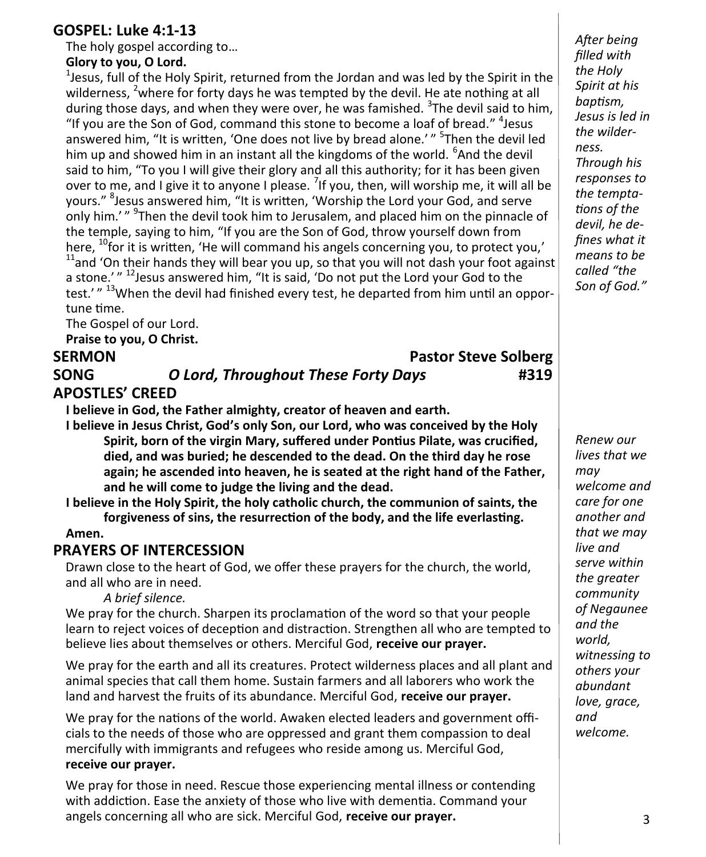#### **GOSPEL: Luke 4:1-13**

The holy gospel according to…

#### **Glory to you, O Lord.**

 $1$ Jesus, full of the Holy Spirit, returned from the Jordan and was led by the Spirit in the wilderness. <sup>2</sup> where for forty days he was tempted by the devil. He ate nothing at all during those days, and when they were over, he was famished. <sup>3</sup>The devil said to him, "If you are the Son of God, command this stone to become a loaf of bread." <sup>4</sup> Jesus answered him, "It is written, 'One does not live by bread alone.' " <sup>5</sup>Then the devil led him up and showed him in an instant all the kingdoms of the world. <sup>6</sup>And the devil said to him, "To you I will give their glory and all this authority; for it has been given over to me, and I give it to anyone I please. <sup>7</sup>If you, then, will worship me, it will all be yours." <sup>8</sup>Jesus answered him, "It is written, 'Worship the Lord your God, and serve only him.' " <sup>9</sup>Then the devil took him to Jerusalem, and placed him on the pinnacle of the temple, saying to him, "If you are the Son of God, throw yourself down from here, <sup>10</sup>for it is written, 'He will command his angels concerning you, to protect you,'  $11$ and 'On their hands they will bear you up, so that you will not dash your foot against a stone.'" <sup>12</sup> Jesus answered him, "It is said, 'Do not put the Lord your God to the test.' "<sup>13</sup>When the devil had finished every test, he departed from him until an opportune time.

The Gospel of our Lord. **Praise to you, O Christ.**

#### **SERMON** Pastor Steve Solberg **SONG** *O Lord, Throughout These Forty Days* **#319**

#### **APOSTLES' CREED**

**I believe in God, the Father almighty, creator of heaven and earth.**

**I believe in Jesus Christ, God's only Son, our Lord, who was conceived by the Holy Spirit, born of the virgin Mary, suffered under Pontius Pilate, was crucified, died, and was buried; he descended to the dead. On the third day he rose again; he ascended into heaven, he is seated at the right hand of the Father, and he will come to judge the living and the dead.**

**I believe in the Holy Spirit, the holy catholic church, the communion of saints, the forgiveness of sins, the resurrection of the body, and the life everlasting.** 

#### **Amen.**

#### **PRAYERS OF INTERCESSION**

Drawn close to the heart of God, we offer these prayers for the church, the world, and all who are in need.

*A brief silence.* 

We pray for the church. Sharpen its proclamation of the word so that your people learn to reject voices of deception and distraction. Strengthen all who are tempted to believe lies about themselves or others. Merciful God, **receive our prayer.**

We pray for the earth and all its creatures. Protect wilderness places and all plant and animal species that call them home. Sustain farmers and all laborers who work the land and harvest the fruits of its abundance. Merciful God, **receive our prayer.** 

We pray for the nations of the world. Awaken elected leaders and government officials to the needs of those who are oppressed and grant them compassion to deal mercifully with immigrants and refugees who reside among us. Merciful God, **receive our prayer.**

We pray for those in need. Rescue those experiencing mental illness or contending with addiction. Ease the anxiety of those who live with dementia. Command your angels concerning all who are sick. Merciful God, **receive our prayer.**

*After being filled with the Holy Spirit at his baptism, Jesus is led in the wilderness. Through his responses to the temptations of the devil, he defines what it means to be called "the Son of God."*

*Renew our lives that we may welcome and care for one another and that we may live and serve within the greater community of Negaunee and the world, witnessing to others your abundant love, grace, and welcome.*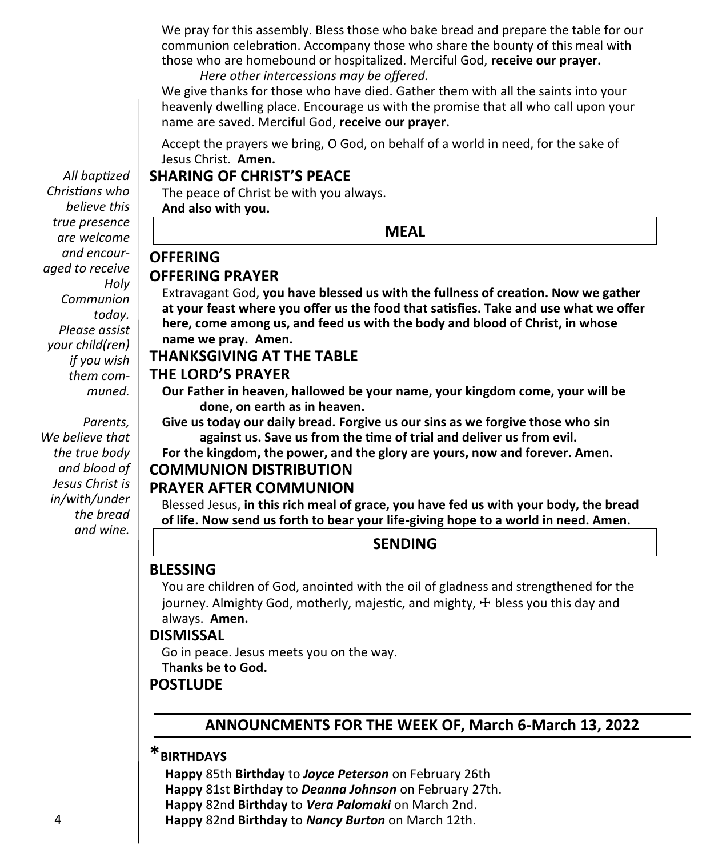We pray for this assembly. Bless those who bake bread and prepare the table for our communion celebration. Accompany those who share the bounty of this meal with those who are homebound or hospitalized. Merciful God, **receive our prayer.**

*Here other intercessions may be offered.*

We give thanks for those who have died. Gather them with all the saints into your heavenly dwelling place. Encourage us with the promise that all who call upon your name are saved. Merciful God, **receive our prayer.**

Accept the prayers we bring, O God, on behalf of a world in need, for the sake of Jesus Christ. **Amen.**

#### **SHARING OF CHRIST'S PEACE**

The peace of Christ be with you always.

**And also with you.**

#### **MEAL**

#### **OFFERING OFFERING PRAYER**

Extravagant God, **you have blessed us with the fullness of creation. Now we gather at your feast where you offer us the food that satisfies. Take and use what we offer here, come among us, and feed us with the body and blood of Christ, in whose name we pray. Amen.**

#### **THANKSGIVING AT THE TABLE**

#### **THE LORD'S PRAYER**

**Our Father in heaven, hallowed be your name, your kingdom come, your will be done, on earth as in heaven.**

**Give us today our daily bread. Forgive us our sins as we forgive those who sin against us. Save us from the time of trial and deliver us from evil.**

**For the kingdom, the power, and the glory are yours, now and forever. Amen.**

### **COMMUNION DISTRIBUTION**

#### **PRAYER AFTER COMMUNION**

Blessed Jesus, **in this rich meal of grace, you have fed us with your body, the bread of life. Now send us forth to bear your life-giving hope to a world in need. Amen.**

#### **SENDING**

#### **BLESSING**

You are children of God, anointed with the oil of gladness and strengthened for the journey. Almighty God, motherly, majestic, and mighty, ☩ bless you this day and always. **Amen.**

#### **DISMISSAL**

Go in peace. Jesus meets you on the way. **Thanks be to God.**

#### **POSTLUDE**

#### **ANNOUNCMENTS FOR THE WEEK OF, March 6-March 13, 2022**

### **\*BIRTHDAYS**

 **Happy** 85th **Birthday** to *Joyce Peterson* on February 26th **Happy** 81st **Birthday** to *Deanna Johnson* on February 27th. **Happy** 82nd **Birthday** to *Vera Palomaki* on March 2nd. **Happy** 82nd **Birthday** to *Nancy Burton* on March 12th.

*All baptized Christians who believe this true presence are welcome and encouraged to receive Holy Communion today. Please assist your child(ren) if you wish them communed.*

 *Parents, We believe that the true body and blood of Jesus Christ is in/with/under the bread and wine.*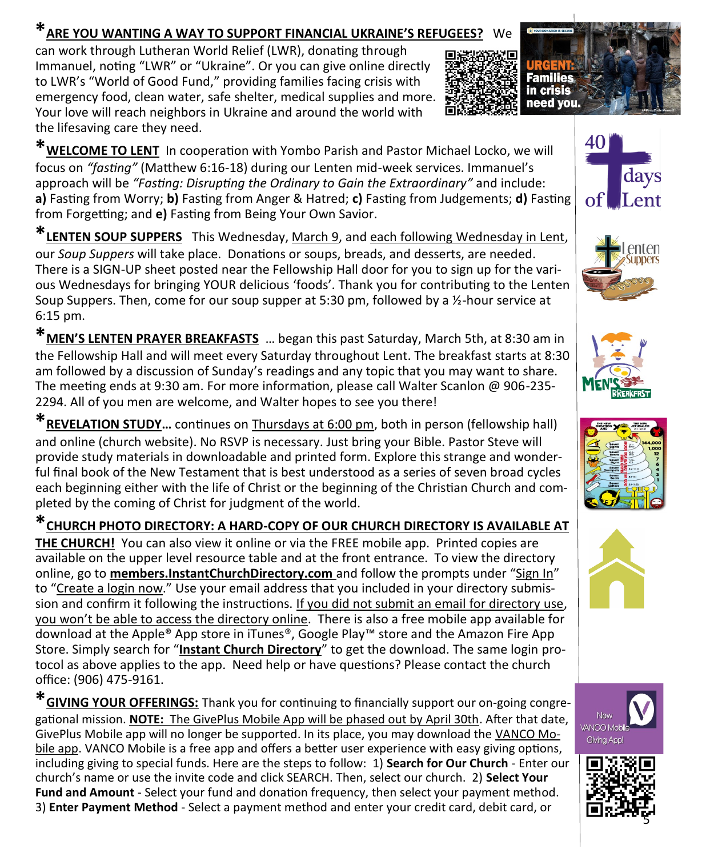#### **\*ARE YOU WANTING A WAY TO SUPPORT FINANCIAL UKRAINE'S REFUGEES?** We

can work through Lutheran World Relief (LWR), donating through Immanuel, noting "LWR" or "Ukraine". Or you can give online directly to LWR's "World of Good Fund," providing families facing crisis with emergency food, clean water, safe shelter, medical supplies and more. Your love will reach neighbors in Ukraine and around the world with the lifesaving care they need.



**\*WELCOME TO LENT** In cooperation with Yombo Parish and Pastor Michael Locko, we will focus on *"fasting"* (Matthew 6:16-18) during our Lenten mid-week services. Immanuel's approach will be *"Fasting: Disrupting the Ordinary to Gain the Extraordinary"* and include: **a)** Fasting from Worry; **b)** Fasting from Anger & Hatred; **c)** Fasting from Judgements; **d)** Fasting from Forgetting; and **e)** Fasting from Being Your Own Savior.

**\*LENTEN SOUP SUPPERS** This Wednesday, March 9, and each following Wednesday in Lent, our *Soup Suppers* will take place. Donations or soups, breads, and desserts, are needed. There is a SIGN-UP sheet posted near the Fellowship Hall door for you to sign up for the various Wednesdays for bringing YOUR delicious 'foods'. Thank you for contributing to the Lenten Soup Suppers. Then, come for our soup supper at 5:30 pm, followed by a  $\frac{1}{2}$ -hour service at 6:15 pm.

**\*MEN'S LENTEN PRAYER BREAKFASTS** … began this past Saturday, March 5th, at 8:30 am in the Fellowship Hall and will meet every Saturday throughout Lent. The breakfast starts at 8:30 am followed by a discussion of Sunday's readings and any topic that you may want to share. The meeting ends at 9:30 am. For more information, please call Walter Scanlon @ 906-235- 2294. All of you men are welcome, and Walter hopes to see you there!

**\*REVELATION STUDY…** continues on Thursdays at 6:00 pm, both in person (fellowship hall) and online (church website). No RSVP is necessary. Just bring your Bible. Pastor Steve will provide study materials in downloadable and printed form. Explore this strange and wonderful final book of the New Testament that is best understood as a series of seven broad cycles each beginning either with the life of Christ or the beginning of the Christian Church and completed by the coming of Christ for judgment of the world.

**\*CHURCH PHOTO DIRECTORY: A HARD-COPY OF OUR CHURCH DIRECTORY IS AVAILABLE AT THE CHURCH!** You can also view it online or via the FREE mobile app. Printed copies are available on the upper level resource table and at the front entrance. To view the directory online, go to **members.InstantChurchDirectory.com** and follow the prompts under "Sign In" to "Create a login now." Use your email address that you included in your directory submission and confirm it following the instructions. If you did not submit an email for directory use, you won't be able to access the directory online. There is also a free mobile app available for download at the Apple® App store in iTunes®, Google Play™ store and the Amazon Fire App Store. Simply search for "**Instant Church Directory**" to get the download. The same login protocol as above applies to the app. Need help or have questions? Please contact the church office: (906) 475-9161.

**\*GIVING YOUR OFFERINGS:** Thank you for continuing to financially support our on-going congregational mission. **NOTE:** The GivePlus Mobile App will be phased out by April 30th. After that date, GivePlus Mobile app will no longer be supported. In its place, you may download the VANCO Mobile app. VANCO Mobile is a free app and offers a better user experience with easy giving options, including giving to special funds. Here are the steps to follow: 1) **Search for Our Church** - Enter our church's name or use the invite code and click SEARCH. Then, select our church. 2) **Select Your Fund and Amount** - Select your fund and donation frequency, then select your payment method. 3) **Enter Payment Method** - Select a payment method and enter your credit card, debit card, or













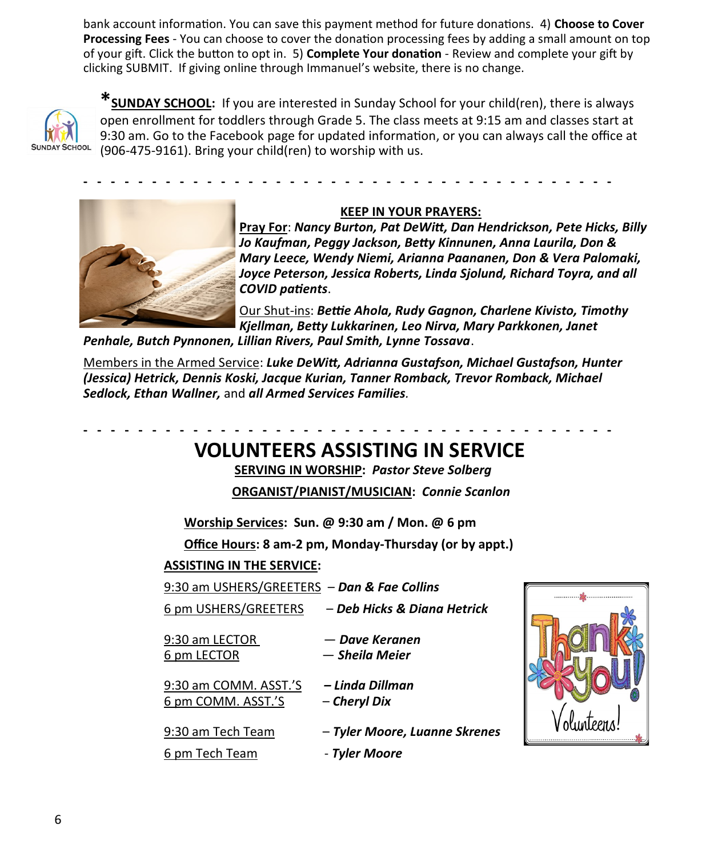bank account information. You can save this payment method for future donations. 4) **Choose to Cover Processing Fees** - You can choose to cover the donation processing fees by adding a small amount on top of your gift. Click the button to opt in. 5) **Complete Your donation** - Review and complete your gift by clicking SUBMIT. If giving online through Immanuel's website, there is no change.



**\*SUNDAY SCHOOL:** If you are interested in Sunday School for your child(ren), there is always open enrollment for toddlers through Grade 5. The class meets at 9:15 am and classes start at 9:30 am. Go to the Facebook page for updated information, or you can always call the office at (906-475-9161). Bring your child(ren) to worship with us.

**- - - - - - - - - - - - - - - - - - - - - - - - - - - - - - - - - - - - - - -** 



#### **KEEP IN YOUR PRAYERS:**

**Pray For**: *Nancy Burton, Pat DeWitt, Dan Hendrickson, Pete Hicks, Billy Jo Kaufman, Peggy Jackson, Betty Kinnunen, Anna Laurila, Don & Mary Leece, Wendy Niemi, Arianna Paananen, Don & Vera Palomaki, Joyce Peterson, Jessica Roberts, Linda Sjolund, Richard Toyra, and all COVID patients*.

Our Shut-ins: *Bettie Ahola, Rudy Gagnon, Charlene Kivisto, Timothy Kjellman, Betty Lukkarinen, Leo Nirva, Mary Parkkonen, Janet* 

*Penhale, Butch Pynnonen, Lillian Rivers, Paul Smith, Lynne Tossava*.

Members in the Armed Service: *Luke DeWitt, Adrianna Gustafson, Michael Gustafson, Hunter (Jessica) Hetrick, Dennis Koski, Jacque Kurian, Tanner Romback, Trevor Romback, Michael Sedlock, Ethan Wallner,* and *all Armed Services Families.*

## **VOLUNTEERS ASSISTING IN SERVICE**

**- - - - - - - - - - - - - - - - - - - - - - - - - - - - - - - - - - - - - - -** 

 **SERVING IN WORSHIP:** *Pastor Steve Solberg*

**ORGANIST/PIANIST/MUSICIAN:** *Connie Scanlon*

**Worship Services: Sun. @ 9:30 am / Mon. @ 6 pm**

**Office Hours: 8 am-2 pm, Monday-Thursday (or by appt.)**

#### **ASSISTING IN THE SERVICE:**

| 9:30 am USHERS/GREETERS - Dan & Fae Collins |                                                  |  |
|---------------------------------------------|--------------------------------------------------|--|
|                                             | 6 pm USHERS/GREETERS - Deb Hicks & Diana Hetrick |  |
| 9:30 am LECTOR<br>6 pm LECTOR               | — Dave Keranen<br>— Sheila Meier                 |  |
| 9:30 am COMM. ASST.'S<br>6 pm COMM. ASST.'S | – Linda Dillman<br>– Cheryl Dix                  |  |
| 9:30 am Tech Team                           | - Tyler Moore, Luanne Skrenes                    |  |
| 6 pm Tech Team                              | - Tyler Moore                                    |  |
|                                             |                                                  |  |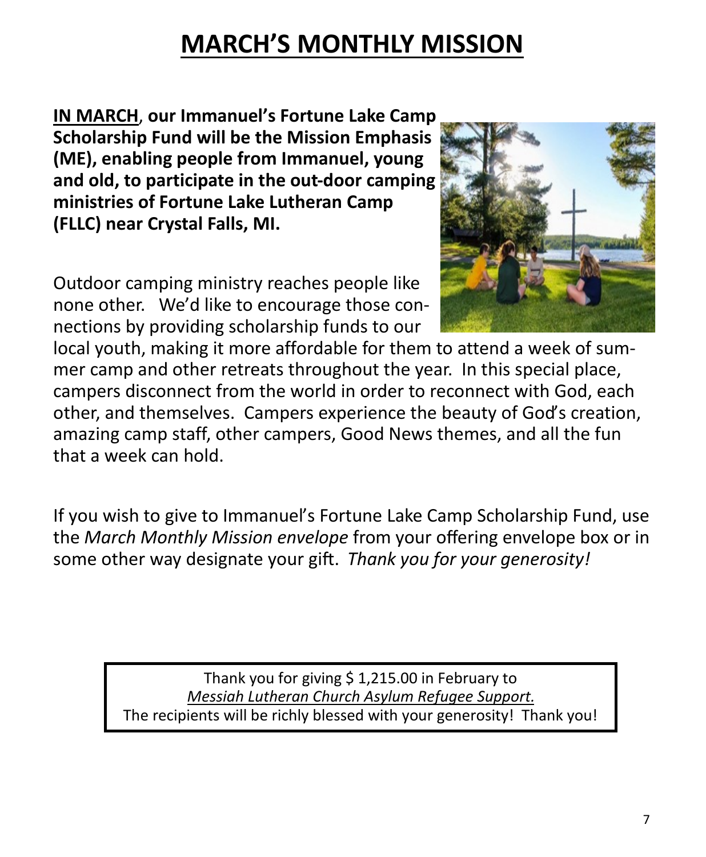# **MARCH'S MONTHLY MISSION**

**IN MARCH**, **our Immanuel's Fortune Lake Camp Scholarship Fund will be the Mission Emphasis (ME), enabling people from Immanuel, young and old, to participate in the out-door camping ministries of Fortune Lake Lutheran Camp (FLLC) near Crystal Falls, MI.**

Outdoor camping ministry reaches people like none other. We'd like to encourage those connections by providing scholarship funds to our



local youth, making it more affordable for them to attend a week of summer camp and other retreats throughout the year. In this special place, campers disconnect from the world in order to reconnect with God, each other, and themselves. Campers experience the beauty of God's creation, amazing camp staff, other campers, Good News themes, and all the fun that a week can hold.

If you wish to give to Immanuel's Fortune Lake Camp Scholarship Fund, use the *March Monthly Mission envelope* from your offering envelope box or in some other way designate your gift. *Thank you for your generosity!* 

> Thank you for giving \$ 1,215.00 in February to *Messiah Lutheran Church Asylum Refugee Support.* The recipients will be richly blessed with your generosity! Thank you!